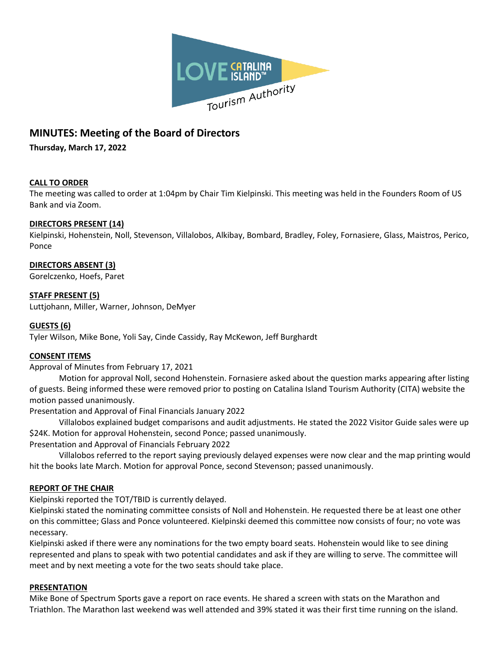

# **MINUTES: Meeting of the Board of Directors**

**Thursday, March 17, 2022**

# **CALL TO ORDER**

The meeting was called to order at 1:04pm by Chair Tim Kielpinski. This meeting was held in the Founders Room of US Bank and via Zoom.

## **DIRECTORS PRESENT (14)**

Kielpinski, Hohenstein, Noll, Stevenson, Villalobos, Alkibay, Bombard, Bradley, Foley, Fornasiere, Glass, Maistros, Perico, Ponce

## **DIRECTORS ABSENT (3)**

Gorelczenko, Hoefs, Paret

## **STAFF PRESENT (5)**

Luttjohann, Miller, Warner, Johnson, DeMyer

#### **GUESTS (6)**

Tyler Wilson, Mike Bone, Yoli Say, Cinde Cassidy, Ray McKewon, Jeff Burghardt

## **CONSENT ITEMS**

Approval of Minutes from February 17, 2021

Motion for approval Noll, second Hohenstein. Fornasiere asked about the question marks appearing after listing of guests. Being informed these were removed prior to posting on Catalina Island Tourism Authority (CITA) website the motion passed unanimously.

Presentation and Approval of Final Financials January 2022

Villalobos explained budget comparisons and audit adjustments. He stated the 2022 Visitor Guide sales were up \$24K. Motion for approval Hohenstein, second Ponce; passed unanimously.

Presentation and Approval of Financials February 2022

Villalobos referred to the report saying previously delayed expenses were now clear and the map printing would hit the books late March. Motion for approval Ponce, second Stevenson; passed unanimously.

## **REPORT OF THE CHAIR**

Kielpinski reported the TOT/TBID is currently delayed.

Kielpinski stated the nominating committee consists of Noll and Hohenstein. He requested there be at least one other on this committee; Glass and Ponce volunteered. Kielpinski deemed this committee now consists of four; no vote was necessary.

Kielpinski asked if there were any nominations for the two empty board seats. Hohenstein would like to see dining represented and plans to speak with two potential candidates and ask if they are willing to serve. The committee will meet and by next meeting a vote for the two seats should take place.

#### **PRESENTATION**

Mike Bone of Spectrum Sports gave a report on race events. He shared a screen with stats on the Marathon and Triathlon. The Marathon last weekend was well attended and 39% stated it was their first time running on the island.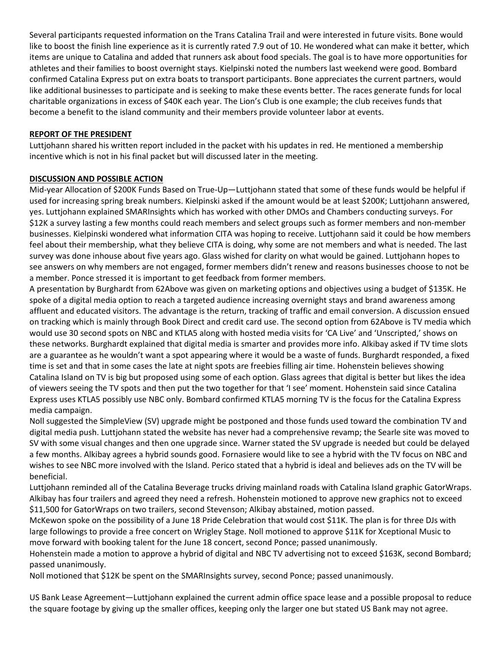Several participants requested information on the Trans Catalina Trail and were interested in future visits. Bone would like to boost the finish line experience as it is currently rated 7.9 out of 10. He wondered what can make it better, which items are unique to Catalina and added that runners ask about food specials. The goal is to have more opportunities for athletes and their families to boost overnight stays. Kielpinski noted the numbers last weekend were good. Bombard confirmed Catalina Express put on extra boats to transport participants. Bone appreciates the current partners, would like additional businesses to participate and is seeking to make these events better. The races generate funds for local charitable organizations in excess of \$40K each year. The Lion's Club is one example; the club receives funds that become a benefit to the island community and their members provide volunteer labor at events.

# **REPORT OF THE PRESIDENT**

Luttjohann shared his written report included in the packet with his updates in red. He mentioned a membership incentive which is not in his final packet but will discussed later in the meeting.

# **DISCUSSION AND POSSIBLE ACTION**

Mid-year Allocation of \$200K Funds Based on True-Up—Luttjohann stated that some of these funds would be helpful if used for increasing spring break numbers. Kielpinski asked if the amount would be at least \$200K; Luttjohann answered, yes. Luttjohann explained SMARInsights which has worked with other DMOs and Chambers conducting surveys. For \$12K a survey lasting a few months could reach members and select groups such as former members and non-member businesses. Kielpinski wondered what information CITA was hoping to receive. Luttjohann said it could be how members feel about their membership, what they believe CITA is doing, why some are not members and what is needed. The last survey was done inhouse about five years ago. Glass wished for clarity on what would be gained. Luttjohann hopes to see answers on why members are not engaged, former members didn't renew and reasons businesses choose to not be a member. Ponce stressed it is important to get feedback from former members.

A presentation by Burghardt from 62Above was given on marketing options and objectives using a budget of \$135K. He spoke of a digital media option to reach a targeted audience increasing overnight stays and brand awareness among affluent and educated visitors. The advantage is the return, tracking of traffic and email conversion. A discussion ensued on tracking which is mainly through Book Direct and credit card use. The second option from 62Above is TV media which would use 30 second spots on NBC and KTLA5 along with hosted media visits for 'CA Live' and 'Unscripted,' shows on these networks. Burghardt explained that digital media is smarter and provides more info. Alkibay asked if TV time slots are a guarantee as he wouldn't want a spot appearing where it would be a waste of funds. Burghardt responded, a fixed time is set and that in some cases the late at night spots are freebies filling air time. Hohenstein believes showing Catalina Island on TV is big but proposed using some of each option. Glass agrees that digital is better but likes the idea of viewers seeing the TV spots and then put the two together for that 'I see' moment. Hohenstein said since Catalina Express uses KTLA5 possibly use NBC only. Bombard confirmed KTLA5 morning TV is the focus for the Catalina Express media campaign.

Noll suggested the SimpleView (SV) upgrade might be postponed and those funds used toward the combination TV and digital media push. Luttjohann stated the website has never had a comprehensive revamp; the Searle site was moved to SV with some visual changes and then one upgrade since. Warner stated the SV upgrade is needed but could be delayed a few months. Alkibay agrees a hybrid sounds good. Fornasiere would like to see a hybrid with the TV focus on NBC and wishes to see NBC more involved with the Island. Perico stated that a hybrid is ideal and believes ads on the TV will be beneficial.

Luttjohann reminded all of the Catalina Beverage trucks driving mainland roads with Catalina Island graphic GatorWraps. Alkibay has four trailers and agreed they need a refresh. Hohenstein motioned to approve new graphics not to exceed \$11,500 for GatorWraps on two trailers, second Stevenson; Alkibay abstained, motion passed.

McKewon spoke on the possibility of a June 18 Pride Celebration that would cost \$11K. The plan is for three DJs with large followings to provide a free concert on Wrigley Stage. Noll motioned to approve \$11K for Xceptional Music to move forward with booking talent for the June 18 concert, second Ponce; passed unanimously.

Hohenstein made a motion to approve a hybrid of digital and NBC TV advertising not to exceed \$163K, second Bombard; passed unanimously.

Noll motioned that \$12K be spent on the SMARInsights survey, second Ponce; passed unanimously.

US Bank Lease Agreement—Luttjohann explained the current admin office space lease and a possible proposal to reduce the square footage by giving up the smaller offices, keeping only the larger one but stated US Bank may not agree.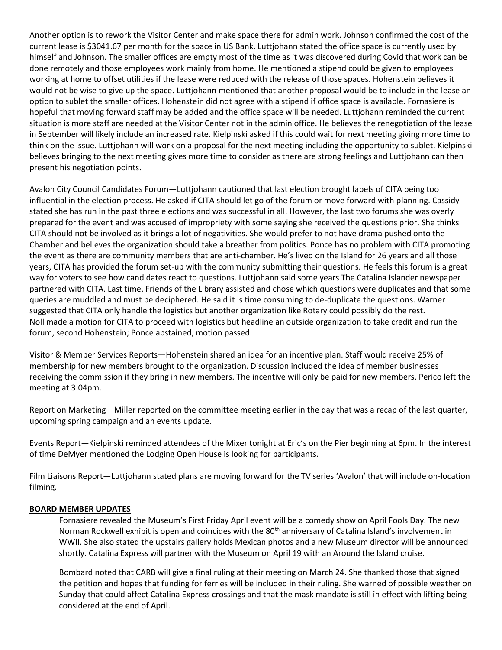Another option is to rework the Visitor Center and make space there for admin work. Johnson confirmed the cost of the current lease is \$3041.67 per month for the space in US Bank. Luttjohann stated the office space is currently used by himself and Johnson. The smaller offices are empty most of the time as it was discovered during Covid that work can be done remotely and those employees work mainly from home. He mentioned a stipend could be given to employees working at home to offset utilities if the lease were reduced with the release of those spaces. Hohenstein believes it would not be wise to give up the space. Luttjohann mentioned that another proposal would be to include in the lease an option to sublet the smaller offices. Hohenstein did not agree with a stipend if office space is available. Fornasiere is hopeful that moving forward staff may be added and the office space will be needed. Luttjohann reminded the current situation is more staff are needed at the Visitor Center not in the admin office. He believes the renegotiation of the lease in September will likely include an increased rate. Kielpinski asked if this could wait for next meeting giving more time to think on the issue. Luttjohann will work on a proposal for the next meeting including the opportunity to sublet. Kielpinski believes bringing to the next meeting gives more time to consider as there are strong feelings and Luttjohann can then present his negotiation points.

Avalon City Council Candidates Forum—Luttjohann cautioned that last election brought labels of CITA being too influential in the election process. He asked if CITA should let go of the forum or move forward with planning. Cassidy stated she has run in the past three elections and was successful in all. However, the last two forums she was overly prepared for the event and was accused of impropriety with some saying she received the questions prior. She thinks CITA should not be involved as it brings a lot of negativities. She would prefer to not have drama pushed onto the Chamber and believes the organization should take a breather from politics. Ponce has no problem with CITA promoting the event as there are community members that are anti-chamber. He's lived on the Island for 26 years and all those years, CITA has provided the forum set-up with the community submitting their questions. He feels this forum is a great way for voters to see how candidates react to questions. Luttjohann said some years The Catalina Islander newspaper partnered with CITA. Last time, Friends of the Library assisted and chose which questions were duplicates and that some queries are muddled and must be deciphered. He said it is time consuming to de-duplicate the questions. Warner suggested that CITA only handle the logistics but another organization like Rotary could possibly do the rest. Noll made a motion for CITA to proceed with logistics but headline an outside organization to take credit and run the forum, second Hohenstein; Ponce abstained, motion passed.

Visitor & Member Services Reports—Hohenstein shared an idea for an incentive plan. Staff would receive 25% of membership for new members brought to the organization. Discussion included the idea of member businesses receiving the commission if they bring in new members. The incentive will only be paid for new members. Perico left the meeting at 3:04pm.

Report on Marketing—Miller reported on the committee meeting earlier in the day that was a recap of the last quarter, upcoming spring campaign and an events update.

Events Report—Kielpinski reminded attendees of the Mixer tonight at Eric's on the Pier beginning at 6pm. In the interest of time DeMyer mentioned the Lodging Open House is looking for participants.

Film Liaisons Report—Luttjohann stated plans are moving forward for the TV series 'Avalon' that will include on-location filming.

## **BOARD MEMBER UPDATES**

Fornasiere revealed the Museum's First Friday April event will be a comedy show on April Fools Day. The new Norman Rockwell exhibit is open and coincides with the 80<sup>th</sup> anniversary of Catalina Island's involvement in WWII. She also stated the upstairs gallery holds Mexican photos and a new Museum director will be announced shortly. Catalina Express will partner with the Museum on April 19 with an Around the Island cruise.

Bombard noted that CARB will give a final ruling at their meeting on March 24. She thanked those that signed the petition and hopes that funding for ferries will be included in their ruling. She warned of possible weather on Sunday that could affect Catalina Express crossings and that the mask mandate is still in effect with lifting being considered at the end of April.